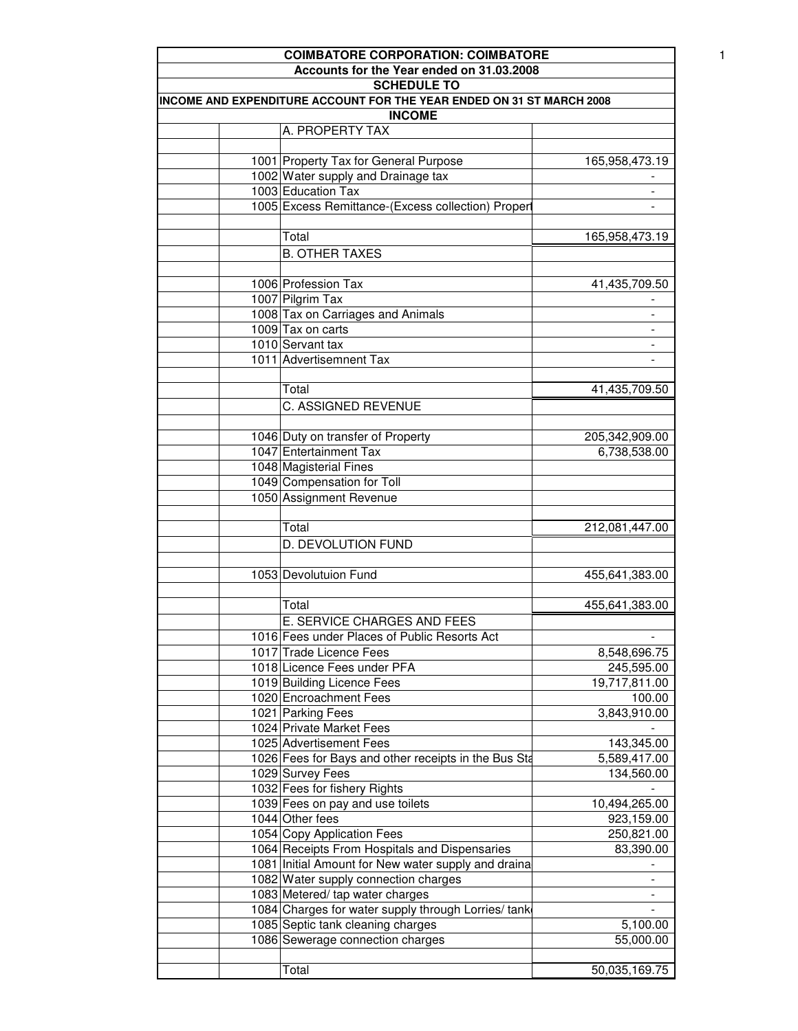|                                                                                        | <b>COIMBATORE CORPORATION: COIMBATORE</b>            |                          |  |  |
|----------------------------------------------------------------------------------------|------------------------------------------------------|--------------------------|--|--|
|                                                                                        | Accounts for the Year ended on 31.03.2008            |                          |  |  |
|                                                                                        | <b>SCHEDULE TO</b>                                   |                          |  |  |
| INCOME AND EXPENDITURE ACCOUNT FOR THE YEAR ENDED ON 31 ST MARCH 2008<br><b>INCOME</b> |                                                      |                          |  |  |
|                                                                                        | A. PROPERTY TAX                                      |                          |  |  |
|                                                                                        |                                                      |                          |  |  |
|                                                                                        | 1001 Property Tax for General Purpose                | 165,958,473.19           |  |  |
|                                                                                        | 1002 Water supply and Drainage tax                   |                          |  |  |
|                                                                                        | 1003 Education Tax                                   | -                        |  |  |
|                                                                                        | 1005 Excess Remittance-(Excess collection) Proper    |                          |  |  |
|                                                                                        |                                                      |                          |  |  |
|                                                                                        | Total                                                | 165,958,473.19           |  |  |
|                                                                                        |                                                      |                          |  |  |
|                                                                                        | <b>B. OTHER TAXES</b>                                |                          |  |  |
|                                                                                        |                                                      |                          |  |  |
|                                                                                        | 1006 Profession Tax                                  | 41,435,709.50            |  |  |
|                                                                                        | 1007 Pilgrim Tax                                     |                          |  |  |
|                                                                                        | 1008 Tax on Carriages and Animals                    | $\overline{\phantom{a}}$ |  |  |
|                                                                                        | 1009 Tax on carts                                    | $\overline{\phantom{a}}$ |  |  |
|                                                                                        | 1010 Servant tax                                     | $\overline{\phantom{a}}$ |  |  |
|                                                                                        | 1011 Advertisemnent Tax                              |                          |  |  |
|                                                                                        |                                                      |                          |  |  |
|                                                                                        | Total                                                | 41,435,709.50            |  |  |
|                                                                                        | C. ASSIGNED REVENUE                                  |                          |  |  |
|                                                                                        |                                                      |                          |  |  |
|                                                                                        | 1046 Duty on transfer of Property                    | 205,342,909.00           |  |  |
|                                                                                        | 1047 Entertainment Tax                               | 6,738,538.00             |  |  |
|                                                                                        | 1048 Magisterial Fines                               |                          |  |  |
|                                                                                        | 1049 Compensation for Toll                           |                          |  |  |
|                                                                                        | 1050 Assignment Revenue                              |                          |  |  |
|                                                                                        |                                                      |                          |  |  |
|                                                                                        | Total                                                | 212,081,447.00           |  |  |
|                                                                                        |                                                      |                          |  |  |
|                                                                                        | D. DEVOLUTION FUND                                   |                          |  |  |
|                                                                                        |                                                      |                          |  |  |
|                                                                                        | 1053 Devolutuion Fund                                | 455,641,383.00           |  |  |
|                                                                                        |                                                      |                          |  |  |
|                                                                                        | Total                                                | 455,641,383.00           |  |  |
|                                                                                        | E. SERVICE CHARGES AND FEES                          |                          |  |  |
|                                                                                        | 1016 Fees under Places of Public Resorts Act         |                          |  |  |
|                                                                                        | 1017 Trade Licence Fees                              | 8,548,696.75             |  |  |
|                                                                                        | 1018 Licence Fees under PFA                          | 245,595.00               |  |  |
|                                                                                        | 1019 Building Licence Fees                           | 19,717,811.00            |  |  |
|                                                                                        | 1020 Encroachment Fees                               | 100.00                   |  |  |
|                                                                                        | 1021 Parking Fees                                    | 3,843,910.00             |  |  |
|                                                                                        | 1024 Private Market Fees                             |                          |  |  |
|                                                                                        | 1025 Advertisement Fees                              | 143,345.00               |  |  |
|                                                                                        | 1026 Fees for Bays and other receipts in the Bus Sta | 5,589,417.00             |  |  |
|                                                                                        | 1029 Survey Fees                                     | 134,560.00               |  |  |
|                                                                                        | 1032 Fees for fishery Rights                         |                          |  |  |
|                                                                                        |                                                      |                          |  |  |
|                                                                                        | 1039 Fees on pay and use toilets                     | 10,494,265.00            |  |  |
|                                                                                        | 1044 Other fees                                      | 923,159.00               |  |  |
|                                                                                        | 1054 Copy Application Fees                           | 250,821.00               |  |  |
|                                                                                        | 1064 Receipts From Hospitals and Dispensaries        | 83,390.00                |  |  |
|                                                                                        | 1081 Initial Amount for New water supply and draina  |                          |  |  |
|                                                                                        | 1082 Water supply connection charges                 | $\overline{\phantom{a}}$ |  |  |
|                                                                                        | 1083 Metered/ tap water charges                      |                          |  |  |
|                                                                                        | 1084 Charges for water supply through Lorries/ tank  |                          |  |  |
|                                                                                        | 1085 Septic tank cleaning charges                    | 5,100.00                 |  |  |
|                                                                                        | 1086 Sewerage connection charges                     | 55,000.00                |  |  |
|                                                                                        |                                                      |                          |  |  |
|                                                                                        | Total                                                | 50,035,169.75            |  |  |
|                                                                                        |                                                      |                          |  |  |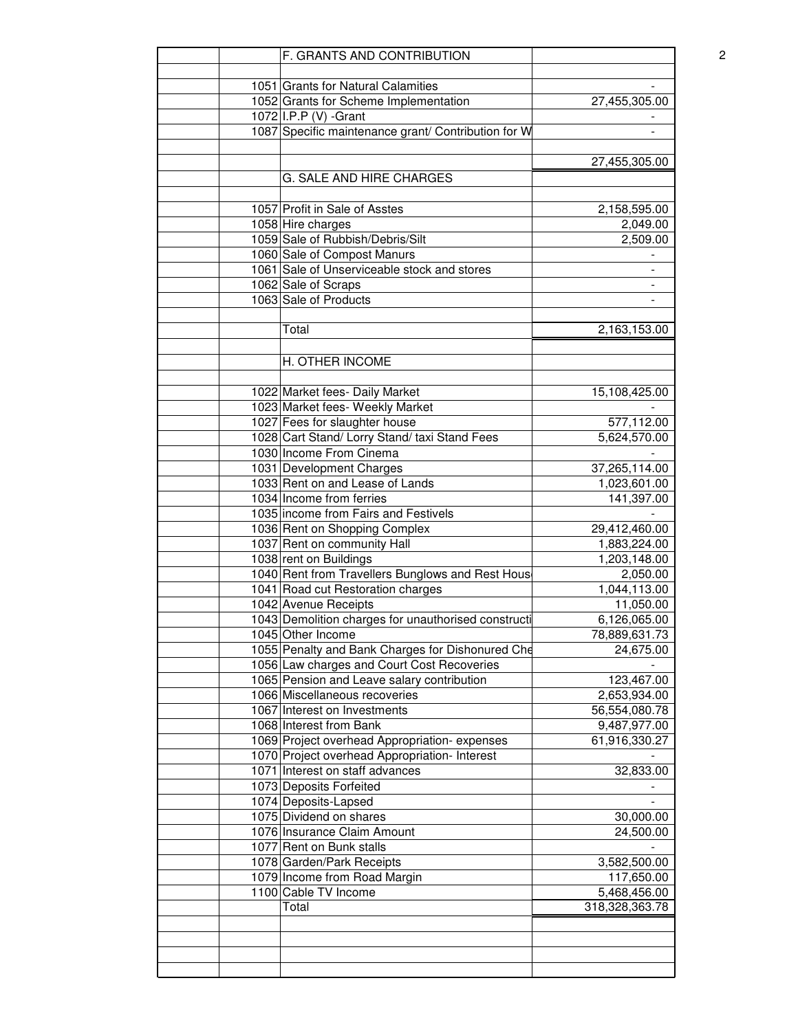| F. GRANTS AND CONTRIBUTION                                        |                          |
|-------------------------------------------------------------------|--------------------------|
|                                                                   |                          |
| 1051 Grants for Natural Calamities                                |                          |
| 1052 Grants for Scheme Implementation                             | 27,455,305.00            |
| 1072 I.P.P (V) -Grant                                             |                          |
| 1087 Specific maintenance grant/ Contribution for W               |                          |
|                                                                   | 27,455,305.00            |
| G. SALE AND HIRE CHARGES                                          |                          |
|                                                                   |                          |
| 1057 Profit in Sale of Asstes                                     | 2,158,595.00             |
| 1058 Hire charges                                                 | 2,049.00                 |
| 1059 Sale of Rubbish/Debris/Silt                                  | 2,509.00                 |
| 1060 Sale of Compost Manurs                                       |                          |
| 1061 Sale of Unserviceable stock and stores                       | $\overline{\phantom{a}}$ |
| 1062 Sale of Scraps                                               | $\overline{\phantom{a}}$ |
| 1063 Sale of Products                                             | $\overline{\phantom{a}}$ |
| Total                                                             | 2,163,153.00             |
|                                                                   |                          |
| H. OTHER INCOME                                                   |                          |
|                                                                   | 15,108,425.00            |
| 1022 Market fees- Daily Market<br>1023 Market fees- Weekly Market |                          |
| 1027 Fees for slaughter house                                     |                          |
|                                                                   | 577,112.00               |
| 1028 Cart Stand/ Lorry Stand/ taxi Stand Fees                     | 5,624,570.00             |
| 1030 Income From Cinema                                           |                          |
| 1031 Development Charges                                          | 37,265,114.00            |
| 1033 Rent on and Lease of Lands                                   | 1,023,601.00             |
| 1034 Income from ferries                                          | 141,397.00               |
| 1035 income from Fairs and Festivels                              |                          |
| 1036 Rent on Shopping Complex                                     | 29,412,460.00            |
| 1037 Rent on community Hall                                       | 1,883,224.00             |
| 1038 rent on Buildings                                            | 1,203,148.00             |
| 1040 Rent from Travellers Bunglows and Rest Hous                  | 2,050.00                 |
| 1041 Road cut Restoration charges                                 | 1,044,113.00             |
| 1042 Avenue Receipts                                              | 11,050.00                |
| 1043 Demolition charges for unauthorised constructi               | 6,126,065.00             |
| 1045 Other Income                                                 | 78,889,631.73            |
| 1055 Penalty and Bank Charges for Dishonured Che                  | 24,675.00                |
| 1056 Law charges and Court Cost Recoveries                        |                          |
| 1065 Pension and Leave salary contribution                        | 123,467.00               |
| 1066 Miscellaneous recoveries                                     | 2,653,934.00             |
| 1067 Interest on Investments                                      | 56,554,080.78            |
| 1068 Interest from Bank                                           | 9,487,977.00             |
| 1069 Project overhead Appropriation-expenses                      | 61,916,330.27            |
| 1070 Project overhead Appropriation-Interest                      |                          |
| 1071 Interest on staff advances                                   | 32,833.00                |
| 1073 Deposits Forfeited                                           |                          |
| 1074 Deposits-Lapsed                                              |                          |
| 1075 Dividend on shares                                           | 30,000.00                |
| 1076 Insurance Claim Amount                                       | 24,500.00                |
| 1077 Rent on Bunk stalls                                          |                          |
| 1078 Garden/Park Receipts                                         | 3,582,500.00             |
| 1079 Income from Road Margin                                      | 117,650.00               |
| 1100 Cable TV Income                                              | 5,468,456.00             |
| Total                                                             | 318,328,363.78           |
|                                                                   |                          |
|                                                                   |                          |
|                                                                   |                          |
|                                                                   |                          |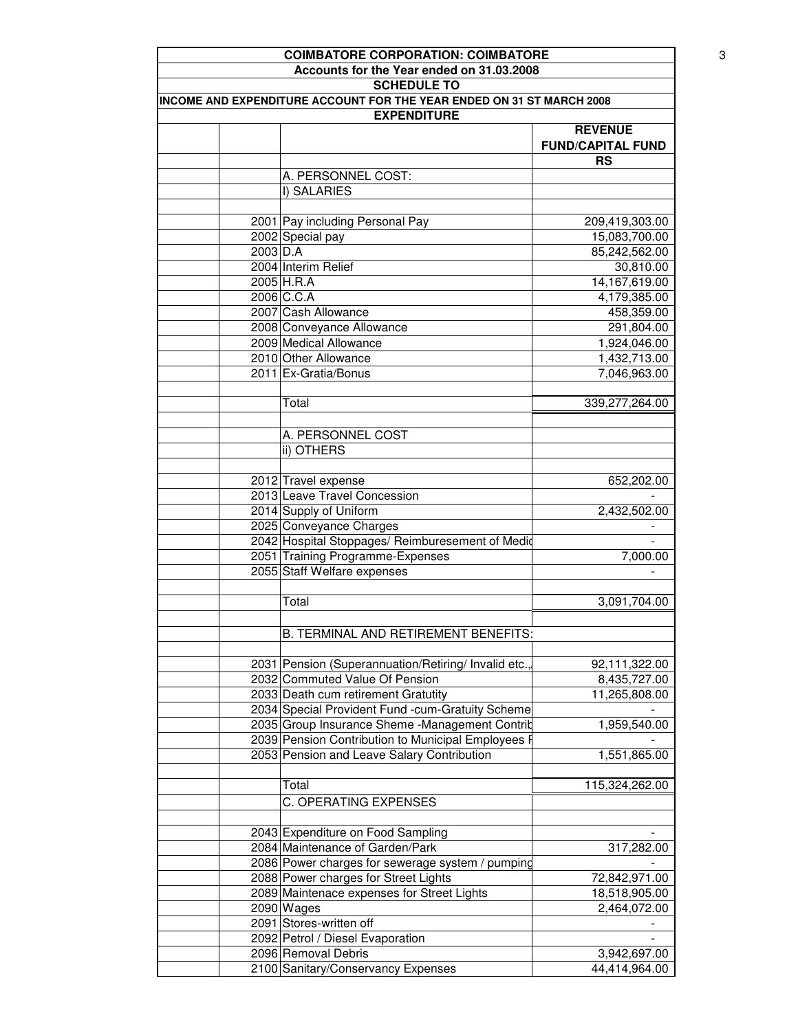| <b>COIMBATORE CORPORATION: COIMBATORE</b>                                                   |                          |
|---------------------------------------------------------------------------------------------|--------------------------|
| Accounts for the Year ended on 31.03.2008                                                   |                          |
| <b>SCHEDULE TO</b>                                                                          |                          |
| INCOME AND EXPENDITURE ACCOUNT FOR THE YEAR ENDED ON 31 ST MARCH 2008<br><b>EXPENDITURE</b> |                          |
|                                                                                             | <b>REVENUE</b>           |
|                                                                                             | <b>FUND/CAPITAL FUND</b> |
|                                                                                             | <b>RS</b>                |
| A. PERSONNEL COST:                                                                          |                          |
| I) SALARIES                                                                                 |                          |
|                                                                                             |                          |
| 2001 Pay including Personal Pay                                                             | 209,419,303.00           |
| 2002 Special pay                                                                            | 15,083,700.00            |
| $2003$ D.A                                                                                  | 85,242,562.00            |
| 2004 Interim Relief                                                                         | 30,810.00                |
| 2005 H.R.A                                                                                  | 14,167,619.00            |
| 2006 C.C.A                                                                                  | 4,179,385.00             |
| 2007 Cash Allowance                                                                         | 458,359.00               |
| 2008 Conveyance Allowance                                                                   | 291,804.00               |
| 2009 Medical Allowance                                                                      | 1,924,046.00             |
| 2010 Other Allowance                                                                        | 1,432,713.00             |
| 2011 Ex-Gratia/Bonus                                                                        | 7,046,963.00             |
| Total                                                                                       | 339,277,264.00           |
|                                                                                             |                          |
| A. PERSONNEL COST                                                                           |                          |
| ii) OTHERS                                                                                  |                          |
|                                                                                             |                          |
| 2012 Travel expense                                                                         | 652,202.00               |
| 2013 Leave Travel Concession                                                                |                          |
| 2014 Supply of Uniform                                                                      | 2,432,502.00             |
| 2025 Conveyance Charges                                                                     |                          |
| 2042 Hospital Stoppages/ Reimburesement of Medio                                            |                          |
| 2051 Training Programme-Expenses                                                            | 7,000.00                 |
| 2055 Staff Welfare expenses                                                                 |                          |
|                                                                                             |                          |
| Total                                                                                       | 3,091,704.00             |
|                                                                                             |                          |
| <b>B. TERMINAL AND RETIREMENT BENEFITS:</b>                                                 |                          |
|                                                                                             |                          |
| 2031 Pension (Superannuation/Retiring/ Invalid etc.                                         | 92,111,322.00            |
| 2032 Commuted Value Of Pension                                                              | 8,435,727.00             |
| 2033 Death cum retirement Gratutity                                                         | 11,265,808.00            |
| 2034 Special Provident Fund -cum-Gratuity Scheme                                            |                          |
| 2035 Group Insurance Sheme -Management Contrib                                              | 1,959,540.00             |
| 2039 Pension Contribution to Municipal Employees F                                          |                          |
| 2053 Pension and Leave Salary Contribution                                                  | 1,551,865.00             |
| Total                                                                                       | 115,324,262.00           |
|                                                                                             |                          |
| C. OPERATING EXPENSES                                                                       |                          |
| 2043 Expenditure on Food Sampling                                                           |                          |
| 2084 Maintenance of Garden/Park                                                             | 317,282.00               |
| 2086 Power charges for sewerage system / pumping                                            |                          |
| 2088 Power charges for Street Lights                                                        | 72,842,971.00            |
| 2089 Maintenace expenses for Street Lights                                                  | 18,518,905.00            |
| $2090$ Wages                                                                                | 2,464,072.00             |
| 2091 Stores-written off                                                                     |                          |
| 2092 Petrol / Diesel Evaporation                                                            |                          |
| 2096 Removal Debris                                                                         | 3,942,697.00             |
| 2100 Sanitary/Conservancy Expenses                                                          | 44,414,964.00            |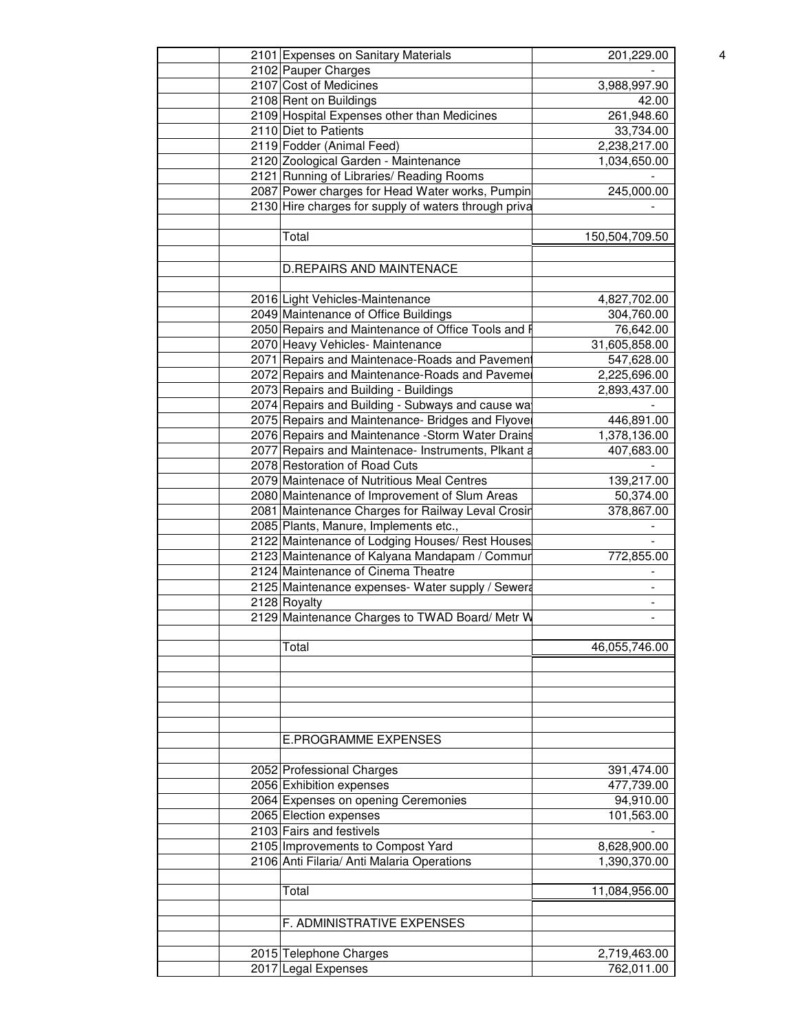| 2101 Expenses on Sanitary Materials                                                 | 201,229.00     |  |
|-------------------------------------------------------------------------------------|----------------|--|
| 2102 Pauper Charges                                                                 |                |  |
| 2107 Cost of Medicines                                                              | 3,988,997.90   |  |
| 2108 Rent on Buildings                                                              | 42.00          |  |
| 2109 Hospital Expenses other than Medicines                                         | 261,948.60     |  |
| 2110 Diet to Patients                                                               | 33,734.00      |  |
| 2119 Fodder (Animal Feed)                                                           | 2,238,217.00   |  |
| 2120 Zoological Garden - Maintenance                                                | 1,034,650.00   |  |
| 2121 Running of Libraries/ Reading Rooms                                            |                |  |
| 2087 Power charges for Head Water works, Pumpin                                     | 245,000.00     |  |
| 2130 Hire charges for supply of waters through priva                                |                |  |
|                                                                                     |                |  |
| Total                                                                               | 150,504,709.50 |  |
|                                                                                     |                |  |
| <b>D.REPAIRS AND MAINTENACE</b>                                                     |                |  |
|                                                                                     |                |  |
| 2016 Light Vehicles-Maintenance                                                     | 4,827,702.00   |  |
| 2049 Maintenance of Office Buildings                                                | 304,760.00     |  |
| 2050 Repairs and Maintenance of Office Tools and F                                  | 76,642.00      |  |
| 2070 Heavy Vehicles- Maintenance                                                    | 31,605,858.00  |  |
| 2071 Repairs and Maintenace-Roads and Pavement                                      | 547,628.00     |  |
| 2072 Repairs and Maintenance-Roads and Pavemer                                      | 2,225,696.00   |  |
| 2073 Repairs and Building - Buildings                                               | 2,893,437.00   |  |
| 2074 Repairs and Building - Subways and cause wa                                    |                |  |
| 2075 Repairs and Maintenance- Bridges and Flyove                                    | 446,891.00     |  |
| 2076 Repairs and Maintenance - Storm Water Drains                                   | 1,378,136.00   |  |
| 2077 Repairs and Maintenace- Instruments, Plkant a                                  | 407,683.00     |  |
| 2078 Restoration of Road Cuts                                                       |                |  |
| 2079 Maintenace of Nutritious Meal Centres                                          |                |  |
|                                                                                     | 139,217.00     |  |
| 2080 Maintenance of Improvement of Slum Areas                                       | 50,374.00      |  |
| 2081 Maintenance Charges for Railway Leval Crosin                                   | 378,867.00     |  |
| 2085 Plants, Manure, Implements etc.,                                               |                |  |
| 2122 Maintenance of Lodging Houses/ Rest Houses                                     |                |  |
| 2123 Maintenance of Kalyana Mandapam / Commur<br>2124 Maintenance of Cinema Theatre | 772,855.00     |  |
|                                                                                     |                |  |
| 2125 Maintenance expenses- Water supply / Sewera                                    |                |  |
| 2128 Royalty                                                                        |                |  |
| 2129 Maintenance Charges to TWAD Board/ Metr W                                      | $\blacksquare$ |  |
|                                                                                     |                |  |
| Total                                                                               | 46,055,746.00  |  |
|                                                                                     |                |  |
|                                                                                     |                |  |
|                                                                                     |                |  |
|                                                                                     |                |  |
|                                                                                     |                |  |
| <b>E.PROGRAMME EXPENSES</b>                                                         |                |  |
|                                                                                     |                |  |
| 2052 Professional Charges                                                           | 391,474.00     |  |
| 2056 Exhibition expenses                                                            | 477,739.00     |  |
| 2064 Expenses on opening Ceremonies                                                 | 94,910.00      |  |
| 2065 Election expenses                                                              | 101,563.00     |  |
| 2103 Fairs and festivels                                                            |                |  |
| 2105 Improvements to Compost Yard                                                   | 8,628,900.00   |  |
| 2106 Anti Filaria/ Anti Malaria Operations                                          | 1,390,370.00   |  |
|                                                                                     |                |  |
| Total                                                                               | 11,084,956.00  |  |
|                                                                                     |                |  |
| F. ADMINISTRATIVE EXPENSES                                                          |                |  |
|                                                                                     |                |  |
|                                                                                     | 2,719,463.00   |  |
| 2015 Telephone Charges                                                              |                |  |
| 2017 Legal Expenses                                                                 | 762,011.00     |  |